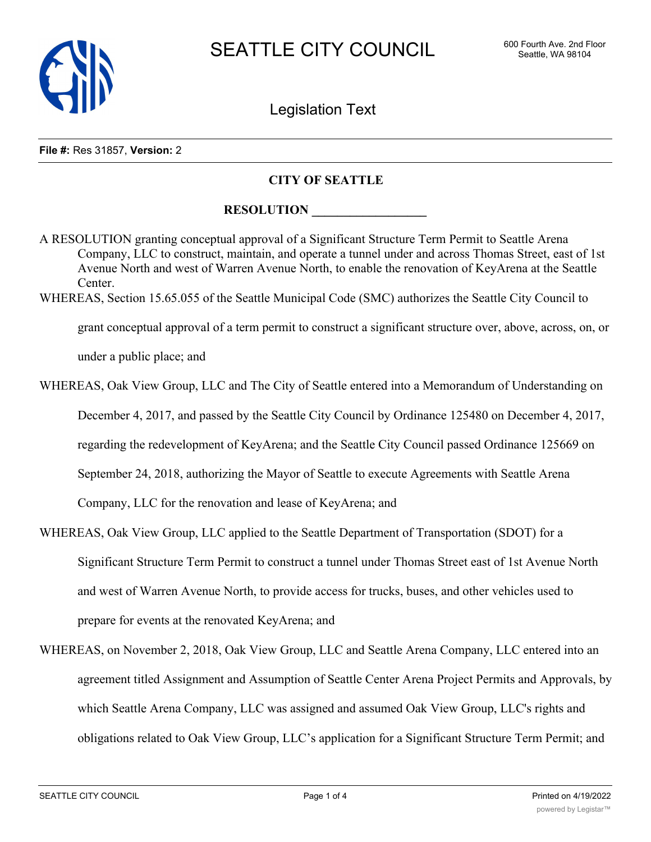

Legislation Text

#### **File #:** Res 31857, **Version:** 2

## **CITY OF SEATTLE**

## **RESOLUTION**

A RESOLUTION granting conceptual approval of a Significant Structure Term Permit to Seattle Arena Company, LLC to construct, maintain, and operate a tunnel under and across Thomas Street, east of 1st Avenue North and west of Warren Avenue North, to enable the renovation of KeyArena at the Seattle Center. WHEREAS, Section 15.65.055 of the Seattle Municipal Code (SMC) authorizes the Seattle City Council to grant conceptual approval of a term permit to construct a significant structure over, above, across, on, or

under a public place; and

WHEREAS, Oak View Group, LLC and The City of Seattle entered into a Memorandum of Understanding on

December 4, 2017, and passed by the Seattle City Council by Ordinance 125480 on December 4, 2017,

regarding the redevelopment of KeyArena; and the Seattle City Council passed Ordinance 125669 on

September 24, 2018, authorizing the Mayor of Seattle to execute Agreements with Seattle Arena

Company, LLC for the renovation and lease of KeyArena; and

- WHEREAS, Oak View Group, LLC applied to the Seattle Department of Transportation (SDOT) for a Significant Structure Term Permit to construct a tunnel under Thomas Street east of 1st Avenue North and west of Warren Avenue North, to provide access for trucks, buses, and other vehicles used to prepare for events at the renovated KeyArena; and
- WHEREAS, on November 2, 2018, Oak View Group, LLC and Seattle Arena Company, LLC entered into an agreement titled Assignment and Assumption of Seattle Center Arena Project Permits and Approvals, by which Seattle Arena Company, LLC was assigned and assumed Oak View Group, LLC's rights and obligations related to Oak View Group, LLC's application for a Significant Structure Term Permit; and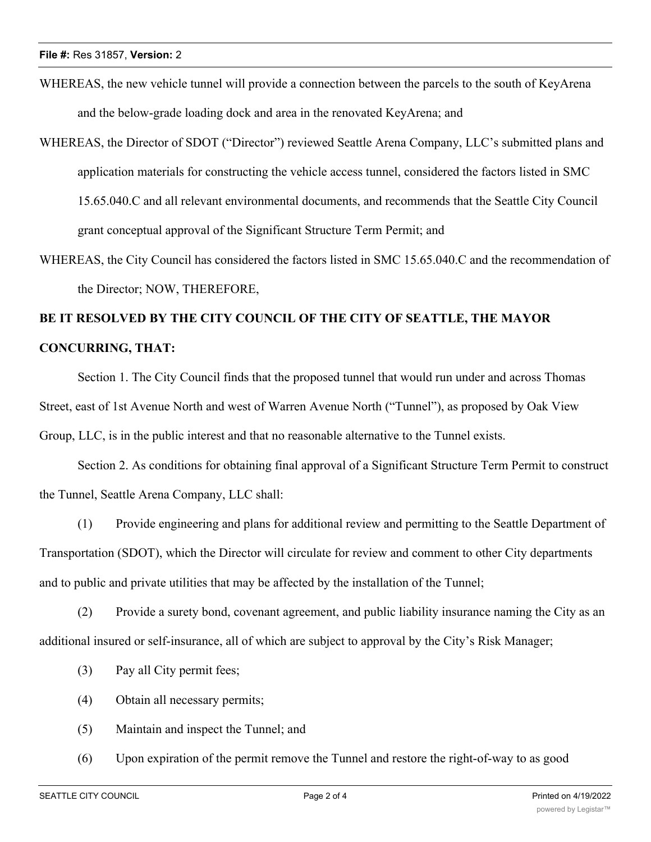- WHEREAS, the new vehicle tunnel will provide a connection between the parcels to the south of KeyArena and the below-grade loading dock and area in the renovated KeyArena; and
- WHEREAS, the Director of SDOT ("Director") reviewed Seattle Arena Company, LLC's submitted plans and application materials for constructing the vehicle access tunnel, considered the factors listed in SMC 15.65.040.C and all relevant environmental documents, and recommends that the Seattle City Council grant conceptual approval of the Significant Structure Term Permit; and
- WHEREAS, the City Council has considered the factors listed in SMC 15.65.040.C and the recommendation of the Director; NOW, THEREFORE,

# **BE IT RESOLVED BY THE CITY COUNCIL OF THE CITY OF SEATTLE, THE MAYOR CONCURRING, THAT:**

Section 1. The City Council finds that the proposed tunnel that would run under and across Thomas Street, east of 1st Avenue North and west of Warren Avenue North ("Tunnel"), as proposed by Oak View Group, LLC, is in the public interest and that no reasonable alternative to the Tunnel exists.

Section 2. As conditions for obtaining final approval of a Significant Structure Term Permit to construct the Tunnel, Seattle Arena Company, LLC shall:

(1) Provide engineering and plans for additional review and permitting to the Seattle Department of Transportation (SDOT), which the Director will circulate for review and comment to other City departments and to public and private utilities that may be affected by the installation of the Tunnel;

(2) Provide a surety bond, covenant agreement, and public liability insurance naming the City as an additional insured or self-insurance, all of which are subject to approval by the City's Risk Manager;

- (3) Pay all City permit fees;
- (4) Obtain all necessary permits;
- (5) Maintain and inspect the Tunnel; and
- (6) Upon expiration of the permit remove the Tunnel and restore the right-of-way to as good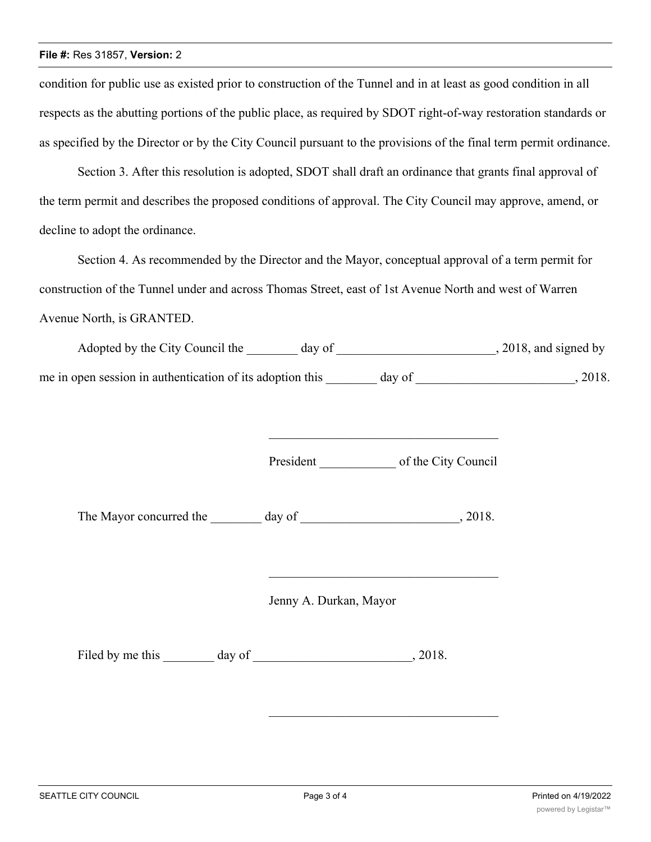#### **File #:** Res 31857, **Version:** 2

condition for public use as existed prior to construction of the Tunnel and in at least as good condition in all respects as the abutting portions of the public place, as required by SDOT right-of-way restoration standards or as specified by the Director or by the City Council pursuant to the provisions of the final term permit ordinance.

Section 3. After this resolution is adopted, SDOT shall draft an ordinance that grants final approval of the term permit and describes the proposed conditions of approval. The City Council may approve, amend, or decline to adopt the ordinance.

Section 4. As recommended by the Director and the Mayor, conceptual approval of a term permit for construction of the Tunnel under and across Thomas Street, east of 1st Avenue North and west of Warren Avenue North, is GRANTED.

| Adopted by the City Council the                           | day of | , 2018, and signed by |
|-----------------------------------------------------------|--------|-----------------------|
| me in open session in authentication of its adoption this | day of | 2018.                 |

President of the City Council

\_\_\_\_\_\_\_\_\_\_\_\_\_\_\_\_\_\_\_\_\_\_\_\_\_\_\_\_\_\_\_\_\_\_\_\_

The Mayor concurred the \_\_\_\_\_\_\_\_ day of \_\_\_\_\_\_\_\_\_\_\_\_\_\_\_\_\_\_\_\_\_\_\_\_, 2018.

Jenny A. Durkan, Mayor

Filed by me this \_\_\_\_\_\_\_\_ day of \_\_\_\_\_\_\_\_\_\_\_\_\_\_\_\_\_\_\_\_\_\_\_\_\_, 2018.